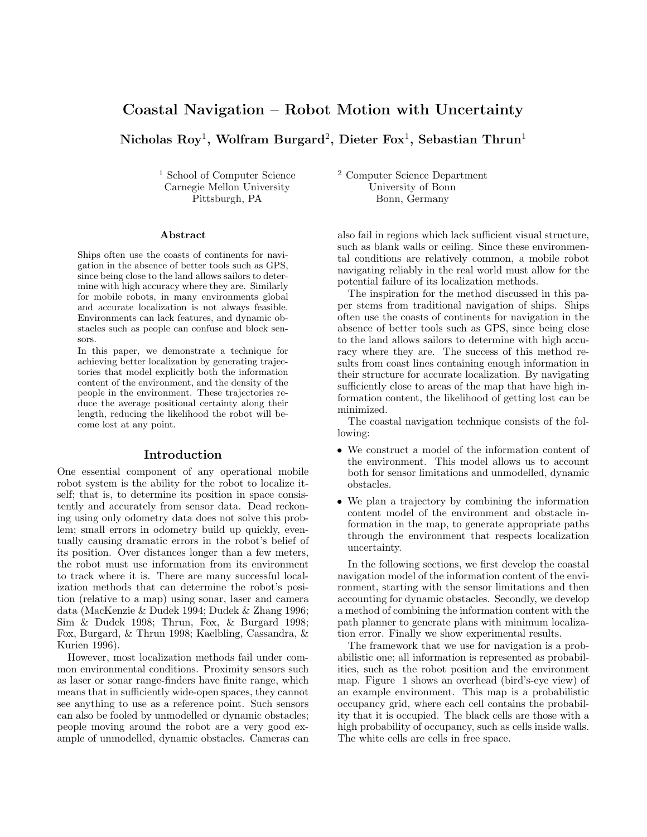# Coastal Navigation – Robot Motion with Uncertainty

Nicholas  ${\rm Roy^1},$  Wolfram  ${\rm Burgard^2},$  Dieter  ${\rm Fox^1},$  Sebastian  ${\rm Thrun^1}$ 

Carnegie Mellon University

#### Abstract

Ships often use the coasts of continents for navigation in the absence of better tools such as GPS, since being close to the land allows sailors to determine with high accuracy where they are. Similarly for mobile robots, in many environments global and accurate localization is not always feasible. Environments can lack features, and dynamic obstacles such as people can confuse and block sensors.

In this paper, we demonstrate a technique for achieving better localization by generating trajectories that model explicitly both the information content of the environment, and the density of the people in the environment. These trajectories reduce the average positional certainty along their length, reducing the likelihood the robot will become lost at any point.

### Introduction

One essential component of any operational mobile robot system is the ability for the robot to localize itself; that is, to determine its position in space consistently and accurately from sensor data. Dead reckoning using only odometry data does not solve this problem; small errors in odometry build up quickly, eventually causing dramatic errors in the robot's belief of its position. Over distances longer than a few meters, the robot must use information from its environment to track where it is. There are many successful localization methods that can determine the robot's position (relative to a map) using sonar, laser and camera data (MacKenzie & Dudek 1994; Dudek & Zhang 1996; Sim & Dudek 1998; Thrun, Fox, & Burgard 1998; Fox, Burgard, & Thrun 1998; Kaelbling, Cassandra, & Kurien 1996).

However, most localization methods fail under common environmental conditions. Proximity sensors such as laser or sonar range-finders have finite range, which means that in sufficiently wide-open spaces, they cannot see anything to use as a reference point. Such sensors can also be fooled by unmodelled or dynamic obstacles; people moving around the robot are a very good example of unmodelled, dynamic obstacles. Cameras can

 $^1$  School of Computer Science  $^2$  Computer Science Department Carnegie Mellon University University of Bonn Pittsburgh, PA Bonn, Germany

> also fail in regions which lack sufficient visual structure, such as blank walls or ceiling. Since these environmental conditions are relatively common, a mobile robot navigating reliably in the real world must allow for the potential failure of its localization methods.

> The inspiration for the method discussed in this paper stems from traditional navigation of ships. Ships often use the coasts of continents for navigation in the absence of better tools such as GPS, since being close to the land allows sailors to determine with high accuracy where they are. The success of this method results from coast lines containing enough information in their structure for accurate localization. By navigating sufficiently close to areas of the map that have high information content, the likelihood of getting lost can be minimized.

> The coastal navigation technique consists of the following:

- We construct a model of the information content of the environment. This model allows us to account both for sensor limitations and unmodelled, dynamic obstacles.
- We plan a trajectory by combining the information content model of the environment and obstacle information in the map, to generate appropriate paths through the environment that respects localization uncertainty.

In the following sections, we first develop the coastal navigation model of the information content of the environment, starting with the sensor limitations and then accounting for dynamic obstacles. Secondly, we develop a method of combining the information content with the path planner to generate plans with minimum localization error. Finally we show experimental results.

The framework that we use for navigation is a probabilistic one; all information is represented as probabilities, such as the robot position and the environment map. Figure 1 shows an overhead (bird's-eye view) of an example environment. This map is a probabilistic occupancy grid, where each cell contains the probability that it is occupied. The black cells are those with a high probability of occupancy, such as cells inside walls. The white cells are cells in free space.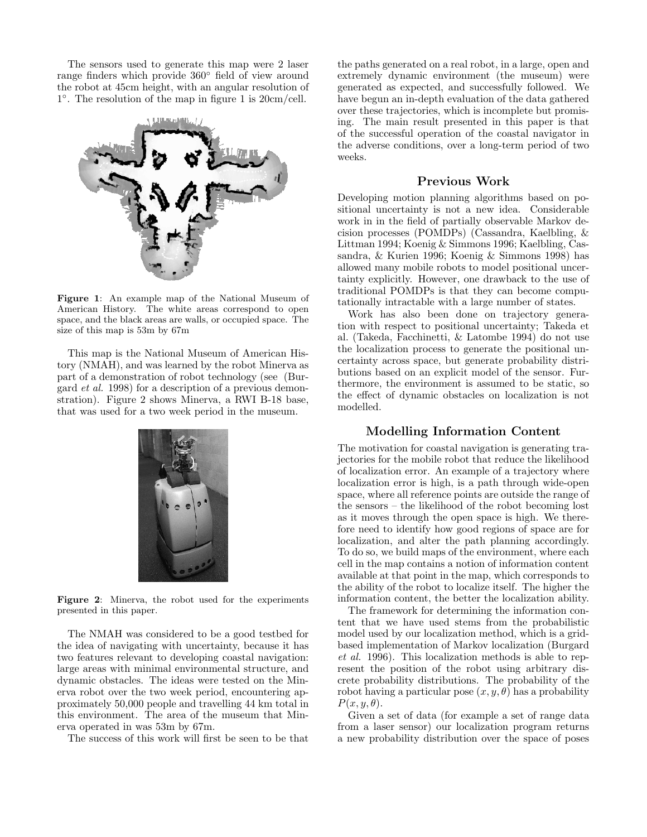The sensors used to generate this map were 2 laser range finders which provide 360◦ field of view around the robot at 45cm height, with an angular resolution of 1 ◦ . The resolution of the map in figure 1 is 20cm/cell.



Figure 1: An example map of the National Museum of American History. The white areas correspond to open space, and the black areas are walls, or occupied space. The size of this map is 53m by 67m

This map is the National Museum of American History (NMAH), and was learned by the robot Minerva as part of a demonstration of robot technology (see (Burgard et al. 1998) for a description of a previous demonstration). Figure 2 shows Minerva, a RWI B-18 base, that was used for a two week period in the museum.



Figure 2: Minerva, the robot used for the experiments presented in this paper.

The NMAH was considered to be a good testbed for the idea of navigating with uncertainty, because it has two features relevant to developing coastal navigation: large areas with minimal environmental structure, and dynamic obstacles. The ideas were tested on the Minerva robot over the two week period, encountering approximately 50,000 people and travelling 44 km total in this environment. The area of the museum that Minerva operated in was 53m by 67m.

The success of this work will first be seen to be that

the paths generated on a real robot, in a large, open and extremely dynamic environment (the museum) were generated as expected, and successfully followed. We have begun an in-depth evaluation of the data gathered over these trajectories, which is incomplete but promising. The main result presented in this paper is that of the successful operation of the coastal navigator in the adverse conditions, over a long-term period of two weeks.

# Previous Work

Developing motion planning algorithms based on positional uncertainty is not a new idea. Considerable work in in the field of partially observable Markov decision processes (POMDPs) (Cassandra, Kaelbling, & Littman 1994; Koenig & Simmons 1996; Kaelbling, Cassandra, & Kurien 1996; Koenig & Simmons 1998) has allowed many mobile robots to model positional uncertainty explicitly. However, one drawback to the use of traditional POMDPs is that they can become computationally intractable with a large number of states.

Work has also been done on trajectory generation with respect to positional uncertainty; Takeda et al. (Takeda, Facchinetti, & Latombe 1994) do not use the localization process to generate the positional uncertainty across space, but generate probability distributions based on an explicit model of the sensor. Furthermore, the environment is assumed to be static, so the effect of dynamic obstacles on localization is not modelled.

### Modelling Information Content

The motivation for coastal navigation is generating trajectories for the mobile robot that reduce the likelihood of localization error. An example of a trajectory where localization error is high, is a path through wide-open space, where all reference points are outside the range of the sensors – the likelihood of the robot becoming lost as it moves through the open space is high. We therefore need to identify how good regions of space are for localization, and alter the path planning accordingly. To do so, we build maps of the environment, where each cell in the map contains a notion of information content available at that point in the map, which corresponds to the ability of the robot to localize itself. The higher the information content, the better the localization ability.

The framework for determining the information content that we have used stems from the probabilistic model used by our localization method, which is a gridbased implementation of Markov localization (Burgard et al. 1996). This localization methods is able to represent the position of the robot using arbitrary discrete probability distributions. The probability of the robot having a particular pose  $(x, y, \theta)$  has a probability  $P(x, y, \theta)$ .

Given a set of data (for example a set of range data from a laser sensor) our localization program returns a new probability distribution over the space of poses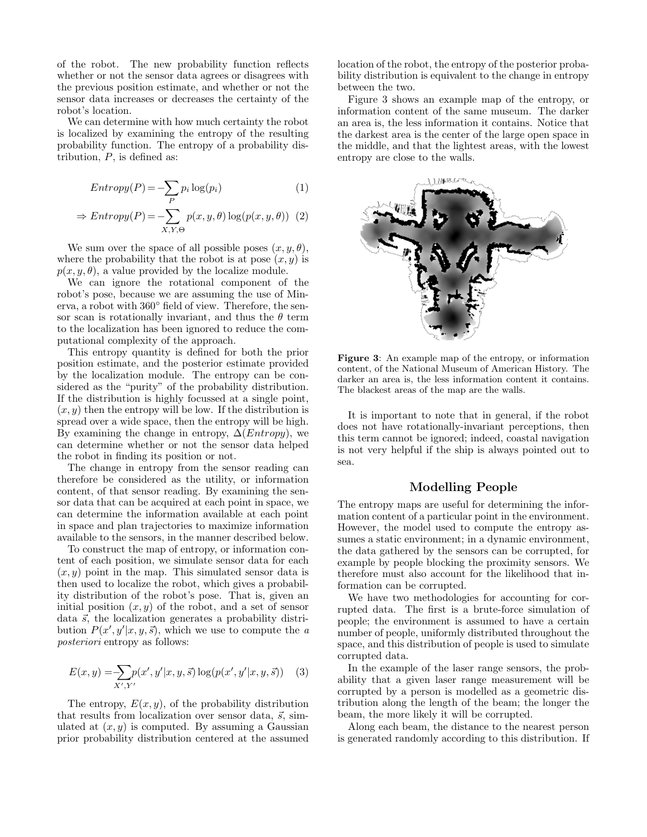of the robot. The new probability function reflects whether or not the sensor data agrees or disagrees with the previous position estimate, and whether or not the sensor data increases or decreases the certainty of the robot's location.

We can determine with how much certainty the robot is localized by examining the entropy of the resulting probability function. The entropy of a probability distribution,  $P$ , is defined as:

$$
Entropy(P) = -\sum_{P} p_i \log(p_i)
$$
(1)  

$$
\Rightarrow Entropy(P) = -\sum_{X,Y,\Theta} p(x, y, \theta) \log(p(x, y, \theta))
$$
(2)

We sum over the space of all possible poses  $(x, y, \theta)$ , where the probability that the robot is at pose  $(x, y)$  is  $p(x, y, \theta)$ , a value provided by the localize module.

We can ignore the rotational component of the robot's pose, because we are assuming the use of Minerva, a robot with 360◦ field of view. Therefore, the sensor scan is rotationally invariant, and thus the  $\theta$  term to the localization has been ignored to reduce the computational complexity of the approach.

This entropy quantity is defined for both the prior position estimate, and the posterior estimate provided by the localization module. The entropy can be considered as the "purity" of the probability distribution. If the distribution is highly focussed at a single point,  $(x, y)$  then the entropy will be low. If the distribution is spread over a wide space, then the entropy will be high. By examining the change in entropy,  $\Delta(Entropy)$ , we can determine whether or not the sensor data helped the robot in finding its position or not.

The change in entropy from the sensor reading can therefore be considered as the utility, or information content, of that sensor reading. By examining the sensor data that can be acquired at each point in space, we can determine the information available at each point in space and plan trajectories to maximize information available to the sensors, in the manner described below.

To construct the map of entropy, or information content of each position, we simulate sensor data for each  $(x, y)$  point in the map. This simulated sensor data is then used to localize the robot, which gives a probability distribution of the robot's pose. That is, given an initial position  $(x, y)$  of the robot, and a set of sensor data  $\vec{s}$ , the localization generates a probability distribution  $P(x', y'|x, y, \vec{s})$ , which we use to compute the a posteriori entropy as follows:

$$
E(x, y) = \sum_{X', Y'} p(x', y'|x, y, \vec{s}) \log(p(x', y'|x, y, \vec{s})) \quad (3)
$$

The entropy,  $E(x, y)$ , of the probability distribution that results from localization over sensor data,  $\vec{s}$ , simulated at  $(x, y)$  is computed. By assuming a Gaussian prior probability distribution centered at the assumed

location of the robot, the entropy of the posterior probability distribution is equivalent to the change in entropy between the two.

Figure 3 shows an example map of the entropy, or information content of the same museum. The darker an area is, the less information it contains. Notice that the darkest area is the center of the large open space in the middle, and that the lightest areas, with the lowest entropy are close to the walls.



Figure 3: An example map of the entropy, or information content, of the National Museum of American History. The darker an area is, the less information content it contains. The blackest areas of the map are the walls.

It is important to note that in general, if the robot does not have rotationally-invariant perceptions, then this term cannot be ignored; indeed, coastal navigation is not very helpful if the ship is always pointed out to sea.

# Modelling People

The entropy maps are useful for determining the information content of a particular point in the environment. However, the model used to compute the entropy assumes a static environment; in a dynamic environment, the data gathered by the sensors can be corrupted, for example by people blocking the proximity sensors. We therefore must also account for the likelihood that information can be corrupted.

We have two methodologies for accounting for corrupted data. The first is a brute-force simulation of people; the environment is assumed to have a certain number of people, uniformly distributed throughout the space, and this distribution of people is used to simulate corrupted data.

In the example of the laser range sensors, the probability that a given laser range measurement will be corrupted by a person is modelled as a geometric distribution along the length of the beam; the longer the beam, the more likely it will be corrupted.

Along each beam, the distance to the nearest person is generated randomly according to this distribution. If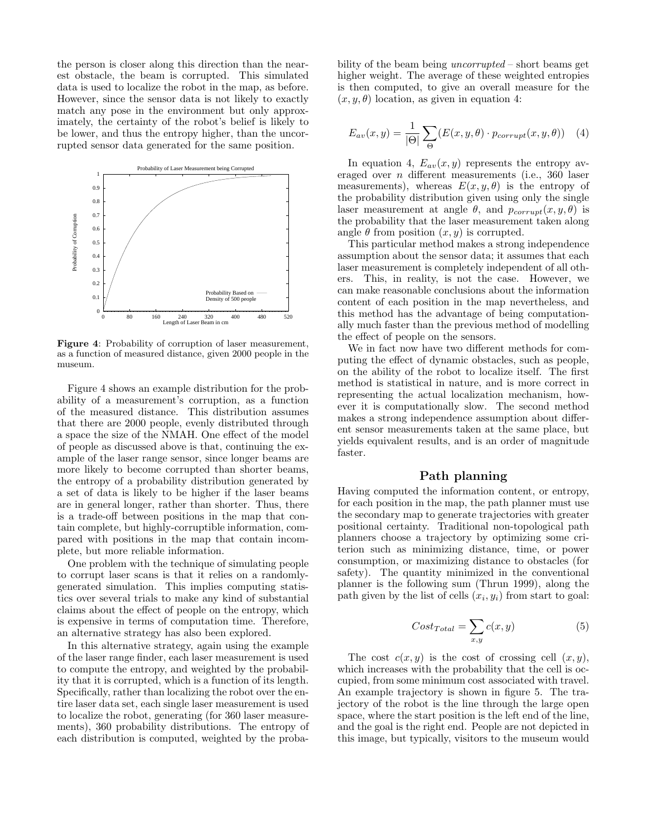the person is closer along this direction than the nearest obstacle, the beam is corrupted. This simulated data is used to localize the robot in the map, as before. However, since the sensor data is not likely to exactly match any pose in the environment but only approximately, the certainty of the robot's belief is likely to be lower, and thus the entropy higher, than the uncorrupted sensor data generated for the same position.



Figure 4: Probability of corruption of laser measurement, as a function of measured distance, given 2000 people in the museum.

Figure 4 shows an example distribution for the probability of a measurement's corruption, as a function of the measured distance. This distribution assumes that there are 2000 people, evenly distributed through a space the size of the NMAH. One effect of the model of people as discussed above is that, continuing the example of the laser range sensor, since longer beams are more likely to become corrupted than shorter beams, the entropy of a probability distribution generated by a set of data is likely to be higher if the laser beams are in general longer, rather than shorter. Thus, there is a trade-off between positions in the map that contain complete, but highly-corruptible information, compared with positions in the map that contain incomplete, but more reliable information.

One problem with the technique of simulating people to corrupt laser scans is that it relies on a randomlygenerated simulation. This implies computing statistics over several trials to make any kind of substantial claims about the effect of people on the entropy, which is expensive in terms of computation time. Therefore, an alternative strategy has also been explored.

In this alternative strategy, again using the example of the laser range finder, each laser measurement is used to compute the entropy, and weighted by the probability that it is corrupted, which is a function of its length. Specifically, rather than localizing the robot over the entire laser data set, each single laser measurement is used to localize the robot, generating (for 360 laser measurements), 360 probability distributions. The entropy of each distribution is computed, weighted by the proba-

bility of the beam being *uncorrupted* – short beams get higher weight. The average of these weighted entropies is then computed, to give an overall measure for the  $(x, y, \theta)$  location, as given in equation 4:

$$
E_{av}(x,y) = \frac{1}{|\Theta|} \sum_{\Theta} (E(x,y,\theta) \cdot p_{corrupt}(x,y,\theta)) \quad (4)
$$

In equation 4,  $E_{av}(x, y)$  represents the entropy averaged over n different measurements (i.e., 360 laser measurements), whereas  $E(x, y, \theta)$  is the entropy of the probability distribution given using only the single laser measurement at angle  $\theta$ , and  $p_{corrupt}(x, y, \theta)$  is the probability that the laser measurement taken along angle  $\theta$  from position  $(x, y)$  is corrupted.

This particular method makes a strong independence assumption about the sensor data; it assumes that each laser measurement is completely independent of all others. This, in reality, is not the case. However, we can make reasonable conclusions about the information content of each position in the map nevertheless, and this method has the advantage of being computationally much faster than the previous method of modelling the effect of people on the sensors.

We in fact now have two different methods for computing the effect of dynamic obstacles, such as people, on the ability of the robot to localize itself. The first method is statistical in nature, and is more correct in representing the actual localization mechanism, however it is computationally slow. The second method makes a strong independence assumption about different sensor measurements taken at the same place, but yields equivalent results, and is an order of magnitude faster.

# Path planning

Having computed the information content, or entropy, for each position in the map, the path planner must use the secondary map to generate trajectories with greater positional certainty. Traditional non-topological path planners choose a trajectory by optimizing some criterion such as minimizing distance, time, or power consumption, or maximizing distance to obstacles (for safety). The quantity minimized in the conventional planner is the following sum (Thrun 1999), along the path given by the list of cells  $(x_i, y_i)$  from start to goal:

$$
Cost_{Total} = \sum_{x,y} c(x,y)
$$
 (5)

The cost  $c(x, y)$  is the cost of crossing cell  $(x, y)$ , which increases with the probability that the cell is occupied, from some minimum cost associated with travel. An example trajectory is shown in figure 5. The trajectory of the robot is the line through the large open space, where the start position is the left end of the line, and the goal is the right end. People are not depicted in this image, but typically, visitors to the museum would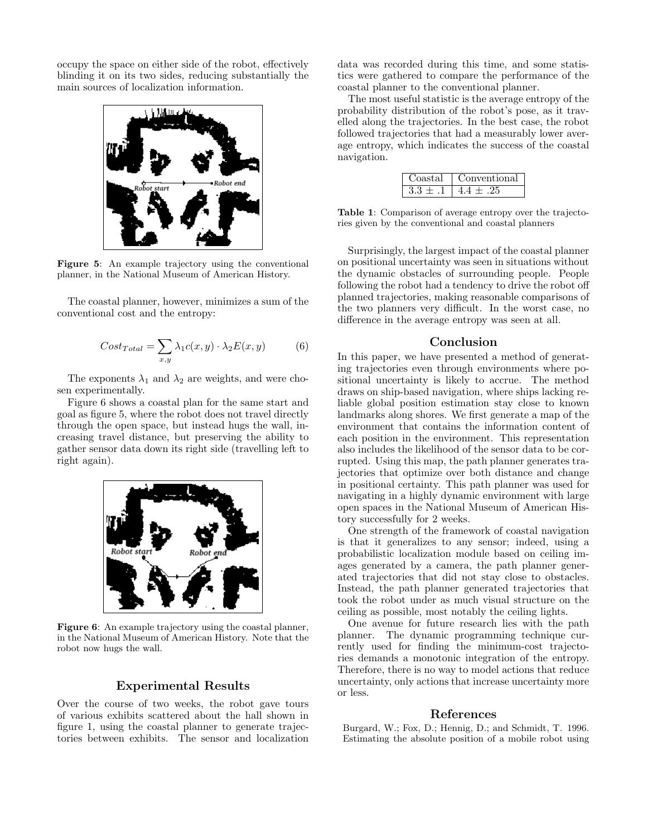occupy the space on either side of the robot, effectively blinding it on its two sides, reducing substantially the main sources of localization information.



Figure 5: An example trajectory using the conventional planner, in the National Museum of American History.

The coastal planner, however, minimizes a sum of the conventional cost and the entropy:

$$
Cost_{Total} = \sum_{x,y} \lambda_1 c(x,y) \cdot \lambda_2 E(x,y) \tag{6}
$$

The exponents  $\lambda_1$  and  $\lambda_2$  are weights, and were chosen experimentally.

Figure 6 shows a coastal plan for the same start and goal as figure 5, where the robot does not travel directly through the open space, but instead hugs the wall, increasing travel distance, but preserving the ability to gather sensor data down its right side (travelling left to right again).



Figure 6: An example trajectory using the coastal planner, in the National Museum of American History. Note that the robot now hugs the wall.

# Experimental Results

Over the course of two weeks, the robot gave tours of various exhibits scattered about the hall shown in figure 1, using the coastal planner to generate trajectories between exhibits. The sensor and localization data was recorded during this time, and some statistics were gathered to compare the performance of the coastal planner to the conventional planner.

The most useful statistic is the average entropy of the probability distribution of the robot's pose, as it travelled along the trajectories. In the best case, the robot followed trajectories that had a measurably lower average entropy, which indicates the success of the coastal navigation.

| t.a.l | onventional |
|-------|-------------|
|       |             |

Table 1: Comparison of average entropy over the trajectories given by the conventional and coastal planners

Surprisingly, the largest impact of the coastal planner on positional uncertainty was seen in situations without the dynamic obstacles of surrounding people. People following the robot had a tendency to drive the robot off planned trajectories, making reasonable comparisons of the two planners very difficult. In the worst case, no difference in the average entropy was seen at all.

# Conclusion

In this paper, we have presented a method of generating trajectories even through environments where positional uncertainty is likely to accrue. The method draws on ship-based navigation, where ships lacking reliable global position estimation stay close to known landmarks along shores. We first generate a map of the environment that contains the information content of each position in the environment. This representation also includes the likelihood of the sensor data to be corrupted. Using this map, the path planner generates trajectories that optimize over both distance and change in positional certainty. This path planner was used for navigating in a highly dynamic environment with large open spaces in the National Museum of American History successfully for 2 weeks.

One strength of the framework of coastal navigation is that it generalizes to any sensor; indeed, using a probabilistic localization module based on ceiling images generated by a camera, the path planner generated trajectories that did not stay close to obstacles. Instead, the path planner generated trajectories that took the robot under as much visual structure on the ceiling as possible, most notably the ceiling lights.

One avenue for future research lies with the path planner. The dynamic programming technique currently used for finding the minimum-cost trajectories demands a monotonic integration of the entropy. Therefore, there is no way to model actions that reduce uncertainty, only actions that increase uncertainty more or less.

#### References

Burgard, W.; Fox, D.; Hennig, D.; and Schmidt, T. 1996. Estimating the absolute position of a mobile robot using